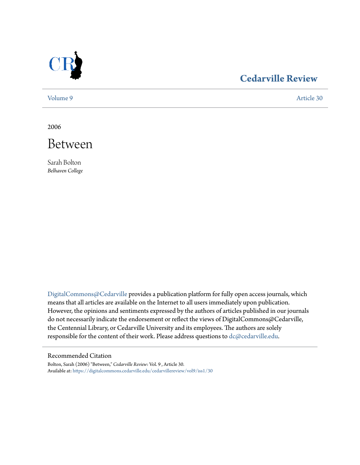

## **[Cedarville Review](https://digitalcommons.cedarville.edu/cedarvillereview?utm_source=digitalcommons.cedarville.edu%2Fcedarvillereview%2Fvol9%2Fiss1%2F30&utm_medium=PDF&utm_campaign=PDFCoverPages)**

[Volume 9](https://digitalcommons.cedarville.edu/cedarvillereview/vol9?utm_source=digitalcommons.cedarville.edu%2Fcedarvillereview%2Fvol9%2Fiss1%2F30&utm_medium=PDF&utm_campaign=PDFCoverPages) [Article 30](https://digitalcommons.cedarville.edu/cedarvillereview/vol9/iss1/30?utm_source=digitalcommons.cedarville.edu%2Fcedarvillereview%2Fvol9%2Fiss1%2F30&utm_medium=PDF&utm_campaign=PDFCoverPages)

2006



Sarah Bolton *Belhaven College*

[DigitalCommons@Cedarville](http://digitalcommons.cedarville.edu) provides a publication platform for fully open access journals, which means that all articles are available on the Internet to all users immediately upon publication. However, the opinions and sentiments expressed by the authors of articles published in our journals do not necessarily indicate the endorsement or reflect the views of DigitalCommons@Cedarville, the Centennial Library, or Cedarville University and its employees. The authors are solely responsible for the content of their work. Please address questions to [dc@cedarville.edu](mailto:dc@cedarville.edu).

## Recommended Citation

Bolton, Sarah (2006) "Between," *Cedarville Review*: Vol. 9 , Article 30. Available at: [https://digitalcommons.cedarville.edu/cedarvillereview/vol9/iss1/30](https://digitalcommons.cedarville.edu/cedarvillereview/vol9/iss1/30?utm_source=digitalcommons.cedarville.edu%2Fcedarvillereview%2Fvol9%2Fiss1%2F30&utm_medium=PDF&utm_campaign=PDFCoverPages)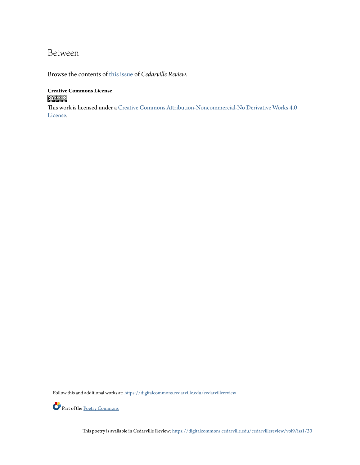## Between

Browse the contents of [this issue](https://digitalcommons.cedarville.edu/cedarvillereview/vol9/iss1) of *Cedarville Review*.

## **Creative Commons License**  $\bigcirc$  000

This work is licensed under a [Creative Commons Attribution-Noncommercial-No Derivative Works 4.0](http://creativecommons.org/licenses/by-nc-nd/4.0/) [License.](http://creativecommons.org/licenses/by-nc-nd/4.0/)

Follow this and additional works at: [https://digitalcommons.cedarville.edu/cedarvillereview](https://digitalcommons.cedarville.edu/cedarvillereview?utm_source=digitalcommons.cedarville.edu%2Fcedarvillereview%2Fvol9%2Fiss1%2F30&utm_medium=PDF&utm_campaign=PDFCoverPages)



This poetry is available in Cedarville Review: [https://digitalcommons.cedarville.edu/cedarvillereview/vol9/iss1/30](https://digitalcommons.cedarville.edu/cedarvillereview/vol9/iss1/30?utm_source=digitalcommons.cedarville.edu%2Fcedarvillereview%2Fvol9%2Fiss1%2F30&utm_medium=PDF&utm_campaign=PDFCoverPages)